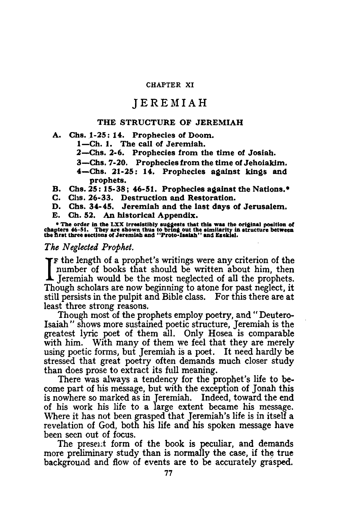#### CHAPTER XI

# JEREMIAH

#### THE STRUCTURE OF JEREMIAH

A. Chs.1-25: 14. Prophecies of Doom.

1-Ch. 1. The call of Jeremiah.

- 2-Chs. 2-6. Prophecies from the time of Josiah.
- 3-Chs. 7-20. Prophecies from the time of Jehoiaklm.
- 4-Chs. 21-25: 14. Prophecies against kings and prophets.

B. Chs. 25: 15-38; 46-51. Prophecies against the Nations.\*<br>C. Chs. 26-33. Destruction and Restoration.

C. Chs. 26-33. Destruction and Restoration.<br>D. Chs. 34-45. Jeremiah and the last days o

D. Chs. 34-45. Jeremiah and the last days of Jerusalem.<br>E. Ch. 52. An historical Annendix.

Ch. 52. An historical Appendix.

 $\bullet$  The order in the LXX irresistibly suggests that this was the original position of the state of the state of the state of the state of the state of the state of the state of the state of the state of the state of the canpiers 40-51. They are snown inus to pring out the similarity in structure between<br>the first three sections of Jeremiah and "Proto-Isaiah" and Ezekiel.

#### *The Neglected Prophet.*

If the length of a prophet's writings were any criterion of the number of books that should be written about him, then Jeremiah would be the most neglected of all the prophets. TF the length of a prophet's writings were any criterion of the number of books that should be written about him, then Though scholars are now beginning to atone for past neglect, it still persists in the pulpit and Bible class. For this there are at least three strong reasons.

Though most of the prophets employ poetry, and" Deutero-Isaiah" shows more sustained poetic structure, Jeremiah is the greatest lyric poet of them all. Only Hosea is comparable With many of them we feel that they are merely using poetic forms, but Jeremiah is a poet. It need hardly be stressed that great poetry often demands much closer study than does prose to extract its full meaning.

There was always a tendency for the prophet's life to become part of his message, but with the exception of Jonah this is nowhere so marked as in Jeremiah. Indeed, toward the end is nowhere so marked as in Jeremiah. of his work his life to a large extent became his message. 'Where it has not been grasped that Jeremiah's life is in itself a revelation of God, both his life and his spoken message have been seen out of focus.

The present form of the book is peculiar, and demands more preliminary study than is normally the case, if the true background and flow of events are to be accurately grasped.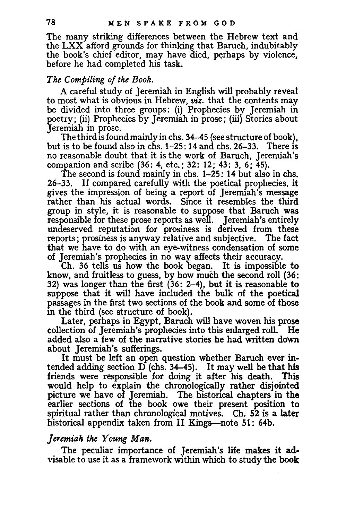The many striking differences between the Hebrew text and the LXX afford grounds for thinking that Baruch, indubitably the book's chief editor, may have died, perhaps by violence, before he had completed his task.

### *The Compiling of the Book.*

A careful study of Jeremiah in English will probably reveal to most what is obvious in Hebrew, *viz.* that the contents may be divided into three groups: (i) Prophecies by Jeremiah in poetry; (ii) Prophecies by Jeremiah in prose; (iii) Stories about Jeremiah in prose.

The third is found mainly in chs. 34-45 (see structure of book), but is to be found also in chs.  $1-25:14$  and chs.  $26-33$ . There is no reasonable doubt that it is the work of Baruch, Jeremiah's companion and scribe (36: 4, etc.; 32: 12; 43: 3, 6; 45).

The second is found mainly in chs. 1-25: 14 but also in chs. 26-33. If compared carefully with the poetical prophecies, it gives the impression of being a report of Jeremiah's message rather than his actual words. Since it resembles the third group in style, it is reasonable to suppose that Baruch was responsible for these prose reports as well. Jeremiah's entirely undeserved reputation for prosiness is derived from these reports; prosiness is anyway relative and subjective. The fact that we have to do with an eye-witness condensation of some of Jeremiah's prophecies in no way affects their accuracy.

Ch. 36 tells us how the book began. It is impossible to know, and fruitless to guess, by how much the second roll (36: 32) was longer than the first (36: 2-4), but it is reasonable to suppose that it will have included the bulk of the poetical passages in the first two sections of the book and some of those in the third (see structure of book).

Later, perhaps in Egypt, Baruch will have woven his prose collection of Jeremiah's prophecies into this enlarged roll. added also a few of the narrative stories he had written down about Jeremiah's sufferings.

It must be left an open question whether Baruch ever intended adding section  $\overline{D}$  (chs. 34-45). It may well be that his friends were responsible for doing it after his death. This friends were responsible for doing it after his death. would help to explain the chronologically rather disjointed picture we have of Jeremiah. The historical chapters in the earlier sections of the book owe their present position to spiritual rather than chronological motives. Ch. 52 is a later historical appendix taken from II Kings-note 51: 64b.

### *Jeremiah the Young Man.*

The peculiar importance of Jeremiah's life makes it advisable to use it as a framework within which to study the book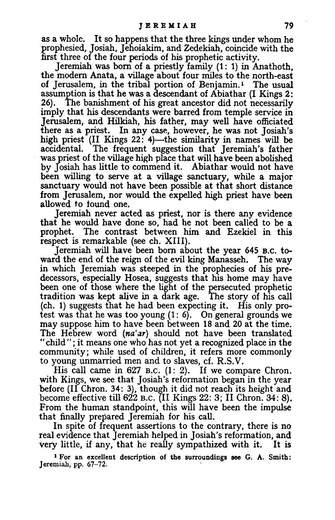as a whole. It so happens that the three kings under whom he prophesied, Josiah, Jehoiakim, and Zedekiah, coincide with the first three of the four periods of his prophetic activity.

Jeremiah was born of a priestly family (1: 1) in Anathoth, the modem Anata, a village about four miles to the north-east of Jerusalem, in the tribal portion of Benjamin.<sup>1</sup> The usual assumption is that he was a descendant of Abiathar (I Kings 2: The banishment of his great ancestor did not necessarily imply that his descendants were barred from temple service in Jerusalem, and Hilkiah, his father, may well have officiated there as a priest. In any case, however, he was not Josiah's high priest (II Kings 22: 4)—the similarity in names will be accidental. The frequent suggestion that Jeremiah's father The frequent suggestion that Jeremiah's father was priest of the village high place that will have been abolished by Josiah has little to commend it. Abiathar would not have been willing to serve at a village sanctuary, while a major sanctuary would not have been possible at that short distance from Jerusalem, nor would the expelled high priest have been allowed to found one.

Jeremiah never acted as priest, nor is there any evidence that he would have done so, had he not been called to be a prophet. The contrast between him and Ezekiel in this respect is remarkable (see ch. XIII).

Jeremiah will have been born about the year 645 B.C. toward the end of the reign of the evil king Manasseh. The way in which Jeremiah was steeped in the prophecies of his predecessors, especially Hosea, suggests that his home may have been one of those where the light of the persecuted prophetic tradition was kept alive in a dark age. The story of his call (ch. 1) suggests that he had been expecting it. His only protest was that he was too young (1: 6). On general grounds we may suppose him to have been between 18 and 20 at the time.<br>The Hebrew word  $(na'ar)$  should not have been translated "child"; it means one who has not yet a recognized place in the community; while used of children, it refers more commonly to young unmarried men and to slaves, cf. R.S.V.

His call came in 627 B.C. (1: 2). If we compare Chron. with Kings, we see that Josiah's reformation began in the year before  $(II)$  Chron. 34: 3), though it did not reach its height and become effective ti11622 B.C. (II Kings 22: 3; II Chron. 34: 8). From the human standpoint, this will have been the impulse that finally prepared Jeremiah for his call.

In spite of frequent assertions to the contrary, there is no real evidence that Jeremiah helped in Josiah's reformation, and very little, if any, that he really sympathized with it. It is

1 For an excellent description of the surroundings see G. A. Smith: Jeremiah, pp. 67-72.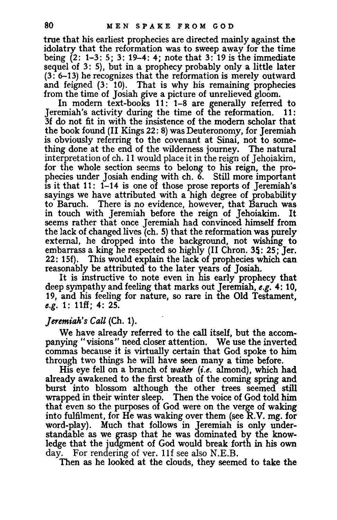true that his earliest prophecies are directed mainly against the idolatry that the reformation was to sweep away for the time being (2: 1-3: 5; 3: 19-4: 4; note that 3: 19 is the immediate sequel of 3: 5), but in a prophecy probably only a little later (3: 6-13) he recognizes that the reformation is merely outward and feigned (3: 10). That is why his remaining prophecies from the time of Josiah give a picture of unrelieved gloom.

In modem text-books 11: 1-8 are generally referred to Jeremiah's activity during the time of the reformation. 11: 3f do not fit in with the insistence of the modem scholar that the book found (11 Kings 22: 8) was Deuteronomy, for Jeremiah is obviously referring to the covenant at Sinai, not to something done at the end of the wilderness journey. The natural interpretation of ch. 11 would place it in the reign of Jehoiakim, for the whole section seems to belong to his reign, the prophecies under Josiah ending with ch. 6. Still more important is it that 11: 1-14 is one of those prose reports of Jeremiah's sayings we have attributed with a high degree of probability to Baruch. There is no evidence, however, that Baruch was in touch with Jeremiah before the reign of Jehoiakim. seems rather that once Jeremiah had convinced himself from the lack of changed lives (ch. 5) that the reformation was purely external, he dropped into the background, not wishing to embarrass a king he respected so highly (II Chron. 35: 25; Jer. 22: 15f). This would explain the lack of prophecies which can This would explain the lack of prophecies which can reasonably be attributed to the later years of Josiah.

It is instructive to note even in his early prophecy that deep sympathy and feeling that marks out Jeremiah, *e.g.* 4: 10, 19, and his feeling for nature, so rare in the Old Testament, *e.g.* 1: 11ff; 4: 25.

## *Jeremiah's Call* (Ch. 1).

We have already referred to the call itself, but the accompanying "visions" need closer attention. We use the inverted commas because it is virtually certain that God spoke to him through two things he will have seen many a time before.

His eye fell on a branch of *waker (i.e.* almond), which had already awakened to the first breath of the coming spring and burst into blossom although the other trees seemed still wrapped in their winter sleep. Then the voice of God told him that even so the purposes of God were on the verge of waking into fulfilment, for He was waking over them (see R.V. mg. for word-play). Much that follows in Jeremiah is only understandable as we grasp that he was dominated by the knowledge that the judgment of God would break forth in his own day. For rendering of ver. I1f see also N.E.B.

Then as he looked at the clouds, they seemed to take the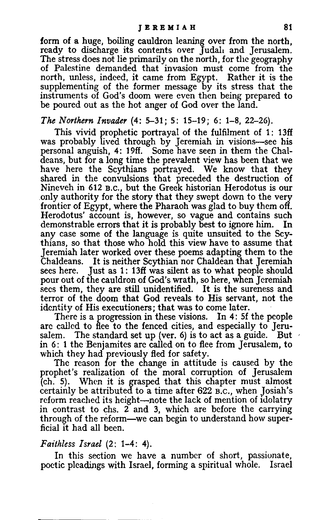form of a huge, boiling cauldron leaning over from the north, ready to discharge its contents over Judah and Jerusalem. The stress does not lie primarily on the north, for the geography of Palestine demanded that invasion must come from the north, unless, indeed, it came from Egypt. Rather it is the supplementing of the former message by its stress that the instruments of God's doom were even then being prepared to be poured out as the hot anger of God over the land.

#### *The Northern Invader* (4: 5-31; 5: 15-19; 6: 1-8,22-26).

This vivid prophetic portrayal of the fulfilment of 1: 13ff was probably lived through by Jeremiah in visions-see his personal anguish, 4: 19ff. Some have seen in them the Chaldeans, but for a long time the prevalent view has been that we have here the Scythians portrayed. We know that they shared in the convulsions that preceded the destruction of Nineveh in 612 B.C., but the Greek historian Herodotus is our only authority for the story that they swept down to the very frontier of Egypt, where the Pharaoh was glad to buy them off. Herodotus' account is, however, so vague and contains such demonstrable errors that it is probably best to ignore him. In demonstrable errors that it is probably best to ignore him. any case some of the language is quite unsuited to the Scythians, so that those who hold this view have to assume that Jeremiah later worked over these poems adapting them to the Chaldeans. It is neither Scythian nor Chaldean that Jeremiah sees here. Just as 1: 13ff was silent as to what people should pour out of the cauldron of God's wrath, so here, when Jeremiah secs them, they are still unidentified. It is the sureness and terror of the doom that God reveals to His servant, not the identity of His executioners; that was to come later.

There is a progression in these visions. In 4: Sf the people are called to flee to the fenced cities, and especially to Jerusalem. The standard set up (ver. 6) is to act as a guide. But in 6: 1 the Benjamites are called on to flee from Jerusalem, to which they had previously fled for safety.

The reason for the change in attitude is caused by the prophet's realization of the moral corruption of Jerusalem (ch. 5). When it is grasped that this chapter must almost certainly be attributed to a time after 622 B.C., when Josiah's reform reached its height-note the lack of mention of Idolatry in contrast to chs. 2 and 3, which are before the carrying through of the reform-we can begin to understand how superficial it had all been.

#### *Faithless Israel* (2: 1-4: 4).

In this section we have a number of short, passionate, poetic pleadings with Israel, forming a spiritual whole. Israel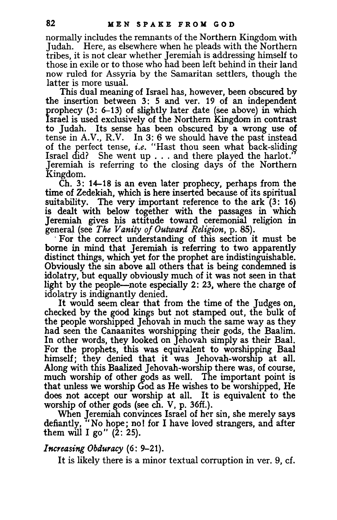normally includes the remnants of the Northern Kingdom with Here, as elsewhere when he pleads with the Northern tribes, it is not clear whether Jeremiah is addressing himself to those in exile or to those who had been left behind in their land now ruled for Assyria by the Samaritan settlers, though the latter is more usual.

This dual meaning of Israel has, however, been obscured by the insertion between 3: 5 and ver. 19 of an independent prophecy (3: 6-13) of slightly later date (see above) in which Israel is used exclusively of the Northern Kingdom in contrast to Judah. Its sense has been obscured by a wrong use of tense in A.V., R.V. In 3: 6 we should have the past instead of the perfect tense, *i.e.* "Hast thou seen what back-sliding Israel did? She went up ... and there played the harlot.' Jeremiah is referring to the closing days of the Northern Kingdom.

Ch. 3: 14-18 is an even later prophecy, perhaps from the time of Zedekiah, which is here inserted because of its spiritual suitability. The very important reference to the ark (3: 16) is dealt with below together with the passages in which Jeremiah gives his attitude toward ceremonial religion in general (see *The Vanity of Outward Religion,* p. 85) .

. For the correct understanding of this section it must be borne in mind that Jeremiah is referring to two apparently distinct things, which yet for the prophet are indistinguishable. Obviously the sin above all others that is being condemned is idolatry, but equally obviously much of it was not seen in that light by the people-note especially 2: 23, where the charge of idolatry is indignantly denied.

It would seem clear that from the time of the Judges on, checked by the good kings but not stamped out, the bulk of the people worshipped Jehovah in much the same way as they had seen the Canaanites worshipping their gods, the Baalim. In other words, they looked on Jehovah simply as their Baal. For the prophets, this was equivalent to worshipping Baal himself; they denied that it was Jehovah-worship at all. Along with this Baalized Jehovah-worship there was, of course, much worship of other gods as well. The important point is that unless we worship God as He wishes to be worshipped, He does not accept our worship at all. It is equivalent to the worship of other gods (see ch. V, p. 36ft.).

When Jeremiah convinces Israel of her sin, she merely says defiantly, "No hope; no! for I have loved strangers, and after them will I go"  $(2: 25)$ .

## *Increasing Obduracy* (6: 9-21).

It is likely there is a minor textual corruption in ver. 9, cf.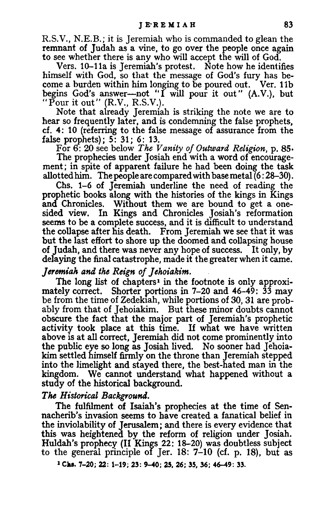RS.V., N.E.B.; it is Jeremiah who is commanded to glean the remnant of Judah as a vine, to go over the people once again to see whether there is any who will accept the will of God.

Vers. 10-11a is Jeremiah's protest. Note how he identifies himself with God, so that the message of God's fury has become a burden within him longing to be poured out. Ver. 11b begins God's answer-not "I will pour it out" (A.V.), but "Pour it out"  $(R.V., R.S.V.).$ 

Note that already Jeremiah is striking the note we are to hear so frequently later, and is condemning the false prophets. cf. 4: 10 (referring to the false message of assurance from the false prophets); 5: 31; 6: 13.

For 6: 20 see below *The Vanity of Outward Religion,* p. 85. The prophecies under Josiah end with a word of encouragement; in spite of apparent failure he had been doing the task allotted him. The people are compared with base metal (6: 28-30).

Chs. 1-6 of Jeremiah underline the need of reading the prophetic books along with the histories of the kings in Kings and Chronicles. Without them we are bound to get a onesided view. In Kings and Chronicles Josiah's reformation seems to be a complete success, and it is difficult to understand the collapse after his death. From Jeremiah we see that it was but the last effort to shore up the doomed and collapsing house of Judah, and there was never any hope of success. It only, by delaying the final catastrophe, made it the greater when it came.

### *Jeremiah and the Reign of Jehoiakim.*

The long list of chapters<sup>1</sup> in the footnote is only approximately correct. Shorter portions in 7-20 and 46-49: 33 may be from the time of Zedeklah, while portions of 30, 31 are probably from that of Jehoiakim. But these minor doubts cannot obscure the fact that the major part of Jeremiah's prophetic activity took place at this time. If what we have written above is at all correct, Jeremiah did not come prominently into the public eye so long as Josiah lived. No sooner had Jehoiakim settled himself firmly on the throne than Jeremiah stepped into the limelight and stayed there, the best-hated man in the kingdom. We cannot understand what happened without a study of the historical background.

## *The Historical Background.*

The fulfilment of Isaiah's prophecies at the time of Sennacherib's invasion seems to have created a fanatical belief in the inviolability of Jerusalem; and there is every evidence that this was heightened by the reform of religion under Josiah. Huldah's prophecy (II Kings 22: 18-20) was doubtless subject to the general principle of Jer.  $18: 7-10$  (cf. p. 18), but as

1 Chs. 7-20; 22: 1-19; 23: 9-40; 25, 26; 35, 36; 46-49: 33.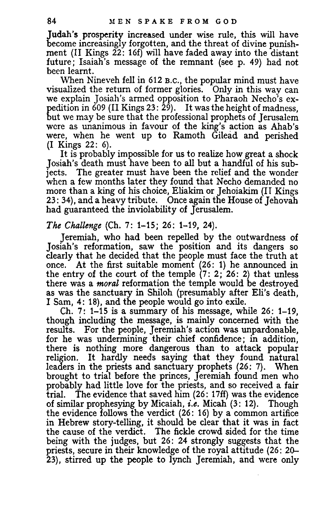Judah's prosperity increased under wise rule, this will have become increasingly forgotten, and the threat of divine punishment (II Kings 22: 16f) will have faded away into the distant future; Isaiah's message of the remnant (see p. 49) had not been learnt.

When Nineveh fell in 612 B.C., the popular mind must have visualized the return of former glories. Only in this way can we explain Josiah's armed opposition to Pharaoh Necho's expedition in 609 (lIKings 23: 29). It was the height of madness, but we may be sure that the professional prophets of Jerusalem were as unanimous in favour of the king's action as Ahab's were, when he went up to Ramoth Gilead and perished (I Kings 22: 6).

It is probably impossible for us to realize how great a shock Josiah's death must have been to all but a handful of his subjects. The greater must have been the relief and the wonder when a few months later they found that Necho demanded no more than a king of his choice, Eliakim or Jehoiakim (IT Kings 23: 34), and a heavy tribute. Once again the House of Jehovah had guaranteed the inviolability of Jerusalem.

#### *The Challenge* (Ch. 7: 1-15; 26: 1-19, 24).

Jeremiah, who had been repelled by the outwardness of Josiah's reformation, saw the position and its dangers so clearly that he decided that the people must face the truth at once. At the first suitable moment (26: 1) he announced in the entry of the court of the temple  $(7: 2; 26: 2)$  that unless there was a *moral* reformation the temple would be destroyed as was the sanctuary in Shiloh (presumably after Eli's death, I Sam, 4: 18), and the people would go into exile.

Ch.  $7: 1-15$  is a summary of his message, while  $26: 1-19$ , though including the message, is mainly concerned with the results. For the people, Jeremiah's action was unpardonable, for he was undermining their chief confidence; in addition, there is nothing more dangerous than to attack popular religion. It hardly needs saying that they found natural leaders in the priests and sanctuary prophets (26: 7). When brought to trial before the princes, Jeremiah found men who probably had little love for the priests, and so received a fair trial. The evidence that saved him (26: 17ff) was the evidence of similar prophesying by Micaiah, *i.e.* Micah (3: 12). Though the evidence follows the verdict (26: 16) by a common artifice in Hebrew story-telling, it should be clear that it was in fact the cause of the verdict. The fickle crowd sided for the time being with the judges, but 26: 24 strongly suggests that the priests, secure in their knowledge of the royal attitude (26: 20- 23), stirred up the people to lynch Jeremiah, and were only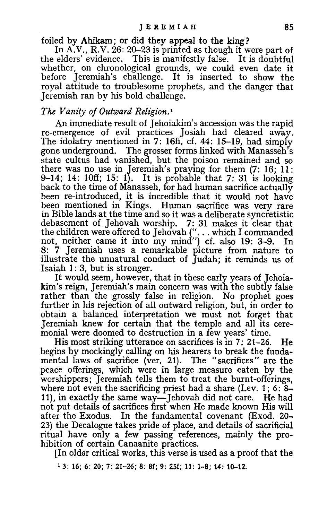## foiled by Ahikam; or did they appeal to the king?

In A.V., R.V. 26: 20-23 is printed as though it were part of the elders' evidence. This is manifestly false. It is doubtful whether, on chronological grounds, we could even date it before Jeremiah's challenge. It is inserted to show the royal attitude to troublesome prophets, and the danger that Jeremiah ran by his bold challenge.

## *The Vanity of Outward Religion.* <sup>1</sup>

An immediate result of Jehoiakim's accession was the rapid re-emergence of evil practices Josiah had cleared away. The idolatry mentioned in 7: 16ff, cf. 44: 15-19, had simply gone underground. The grosser forms linked with Manasseh's state cultus had vanished, but the poison remained and so there was no use in Jeremiah's praying for them (7: 16; 11: 9-14; 14: lOff; 15: 1). It is probable that 7: 31 is looking back to the time of Manasseh, for had human sacrifice actually been re-introduced, it is incredible that it would not have been mentioned in Kings. Human sacrifice was very rare in Bible lands at the time and so it was a deliberate syncretistic debasement of Jehovah worship. 7: 31 makes it clear that the children were offered to Jehovah ("... which I commanded not, neither came it into my mind") cf. also 19: 3-9. In 8: 7 Jeremiah uses a remarkable picture from nature to illustrate the unnatural conduct of Judah; it reminds us of Isaiah 1: 3, but is stronger.

It would seem, however, that in these early years of Jehoiakim's reign, Jeremiah's main concern was with the subtly false rather than the grossly false in religion. No prophet goes further in his rejection of all outward religion, but, in order to obtain a balanced interpretation we must not forget that Jeremiah knew for certain that the temple and all its ceremonial were doomed to destruction in a few years' time.

His most striking utterance on sacrifices is in 7: 21-26. He begins by mockingly calling on his hearers to break the fundamental laws of sacrifice (ver. 21). The "sacrifices" are the peace offerings, which were in large measure eaten by the worshippers; Jeremiah tells them to treat the burnt-offerings, where not even the sacrificing priest had a share (Lev. 1; 6: 8-11), in exactly the same way—Jehovah did not care. He had not put details of sacrifices first when He made known His will after the Exodus. In the fundamental covenant (Exod. 20- 23) the Decalogue takes pride of place, and details of sacrificial ritual have only a few passing references, mainly the prohibition of certain Canaanite practices.

[In older critical works, this verse is used as a proof that the

13: 16; 6: 20; 7: 21-26; 8: 8f; 9: 2Sf; 11: 1-8; 14: 10-12.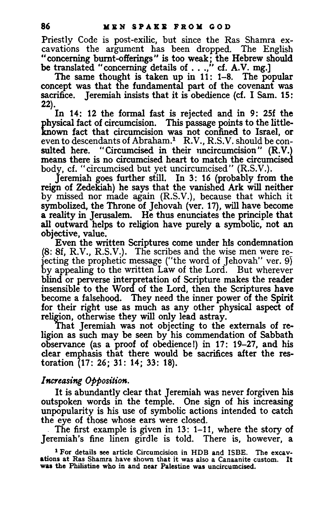Priestly Code is post-exilic, but since the Ras Shamra excavations the argument has been dropped. The English " concerning burnt-offerings" is too weak; the Hebrew should<br>be translated "concerning details of ...," cf. A.V. mg.]

The same thought is taken up in 11: 1-8. The popular concept was that the fundamental part of the covenant was sacrifice. Jeremiah insists that it is obedience (cf. I Sam. 15: 22).

In 14: 12 the formal fast is rejected and in 9: 25f the physical fact of circumcision. This passage points to the littleknown fact that circumcision was not confined to Israel, or even to descendants of Abraham.<sup>1</sup> R.V., R.S.V. should be consulted here. "Circumcised in their uncircumcision" (R.V.) means there is no circumcised heart to match the circumcised body, cf. "circumcised but yet uncircumcised" (R.S.V.).

Jeremiah goes further still. In 3: 16 (probably from the reign of Zedekiah) he says that the vanished Ark will neither by missed nor made again (R.S.V.), because that which it symbolized, the Throne of Jehovah (ver. 17), will have become a reality in Jerusalem. He thus enunciates the principle that all outward helps to religion have purely a symbolic, not an objective, value.

Even the written Scriptures come under his condemnation (S: Sf, R.V., R.S.V.). The scribes and the wise men were rejecting the prophetic message ("the word of Jehovah" ver. *9i*  by appealing to the written Law of the Lord. But wherever blind or perverse interpretation of Scripture makes the reader insensible to the Word of the Lord, then the Scriptures have become a falsehood. They need the inner power of the Spirit for their right use as much as any other physical aspect of religion, otherwise they will only lead astray.

That Jeremiah was not objecting to the externals of religion as such may be seen by his commendation of Sabbath observance (as a proof of obedience!) in 17: 19-27, and his clear emphasis that there would be sacrifices after the restoration (17: 26;31: 14; 33: 18).

## *Increasing Opposition.*

It is abundantly clear that Jeremiah was never forgiven his outspoken words in the temple. One sign of his increasing unpopularity is his use of symbolic actions intended to catch the eye of those whose ears were closed.

The first example is given in 13: 1-11, where the story of Jeremiah's fine linen girdle is told. There is, however, a

<sup>1</sup> For details see article Circumcision in HDB and ISBE. The excav- ations at Ras Shamra have shown that it was also a Canaanite custom. It was the Philistine who in and near Palestine was uncircumcised.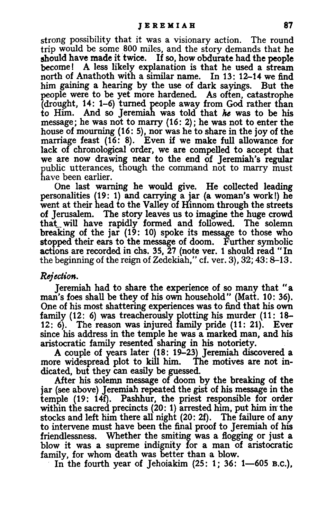strong possibility that it was a visionary action. The round trip would be some 800 miles, and the story demands that he should have made it twice. If so, how obdurate had the people become! A less likely explanation is that he used a stream north of Anathoth with a similar name. In 13: 12-14 we find him gaining a hearing by the use of dark sayings. But the people were to be yet more hardened. As often, catastrophe (drought, 14: 1-6) turned people away from God rather than to Him. And so Jeremiah was told that *he* was to be his message; he was not to marry (16: 2); he was not to enter the house of mourning (16: 5), nor was he to share in the joy of the marriage feast (16: 8). Even if we make full allowance for lack of chronological order, we are compelled to accept that we are now drawing near to the end of Jeremiah's regular public utterances, though the command not to marry must have been earlier.

One last warning he would give. He collected leading personalities (19: 1) and carrying a jar (a woman's work I) he went at their head to the Valley of Hinnom through the streets of Jerusalem. The story leaves us to imagine the huge crowd that\_ will have rapidly formed and followed. The solemn breaking of the jar  $(19: 10)$  spoke its message to those who stopped their ears to the message of doom. Further symbolic actions are recorded in chs. 35, 27 (note ver. 1 should read" In the beginning of the reign of Zedekiah," cf. ver. 3), 32; 43: 8-13.

## *Rejection.*

Jeremiah had to share the experience of so many that "a man's foes shall be they of his own household" (Matt. 10: 36). One of his most shattering experiences was to find that his own family (12: 6) was treacherously plotting his murder (11: 18- 12: 6). The reason was injured family pride (11: 21). Ever since his address in the temple he was a marked man, and his aristocratic family resented sharing in his notoriety.

A couple of years later (18: 19-23) Jeremiah discovered a more widespread plot to kill him. dicated, but they can easily be guessed.

After his solemn message of doom by the breaking of the jar (see above) Jeremiah repeated the gist of his message in the temple (19: 14f). Pashhur, the priest responsible for order within the sacred precincts (20: 1) arrested him, put him in the stocks and left him there all night (20: 2f). The failure of any to intervene must have been the final proof to Jeremiah of his friendlessness. Whether the smiting was a flogging or just a blow it was a supreme indignity for a man of aristocratic family, for whom death was better than a blow.

In the fourth year of Jehoiakim  $(25: 1; 36: 1-605 \text{ B.C.})$ ,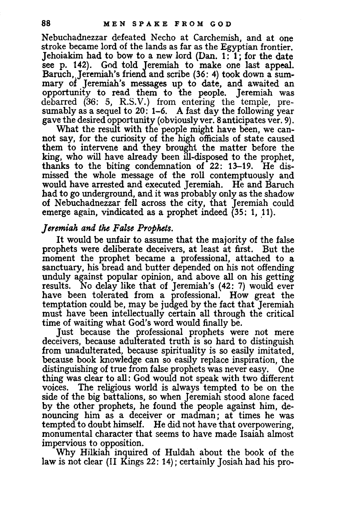Nebuchadnezzar defeated Necho at Carchemish, and at one stroke became lord of the lands as far as the Egyptian frontier. Jehoiakim had to bow to a new lord (Dan. 1: 1; for the date see p. 142). God told Jeremiah to make one last appeal. Baruch,Jeremiah's friend and scribe (36: 4) took down a summary of Jeremiah's messages up to date, and awaited an opportunity to read them to the people. Jeremiah was debarred (36: 5, R.S.V.) from entering the temple, presumably as a sequel to 20: 1-6. A fast day the following year gave the desired opportunity (obviouslyver. 8 anticipates ver. 9).

What the result with the people might have been, we cannot say, for the curiosity of the high officials of state caused them to intervene and they brought the matter before the king, who will have already been ill-disposed to the prophet, thanks to the biting condemnation of 22: 13-19. He dismissed the whole message of the roll contemptuously and would have arrested and executed Jeremiah. He and Baruch had to go underground, and it was probably only as the shadow of Nebuchadnezzar fell across the city, that Jeremiah could emerge again, vindicated as a prophet indeed  $(35: 1, 11)$ .

### *Jeremiah and the False Prophets.*

It would be unfair to assume that the majority of the false prophets were deliberate deceivers, at least at first. But the moment the prophet became a professional, attached to a sanctuary, his bread and butter depended on his not offending unduly against popular opinion, and above all on his getting results. No delay like that of Jeremiah's (42: 7) would ever have been tolerated from a professional. How great the temptation could be, may be judged by the fact that Jeremiah must have been intellectually certain all through the critical time of waiting what God's word would finally be.

Just because the professional prophets were not mere deceivers, because adulterated truth is so hard to distinguish from unadulterated, because spirituality is so easily imitated, because book knowledge can so easily replace inspiration, the distinguishing of true from false prophets was never easy. One thing was clear to all: God would not speak with two different voices. The religious world is always tempted to be on the side of the big battalions, so when Jeremiah stood alone faced by the other prophets, he found the people against him, denouncing him as a deceiver or madman; at times he was tempted to doubt himself. He did not have that overpowering, monumental character that seems to have made Isaiah almost impervious to opposition.

Why Hilkiah inquired of Huldah about the book of the law is not clear (II Kings 22: 14); certainly Josiah had his pro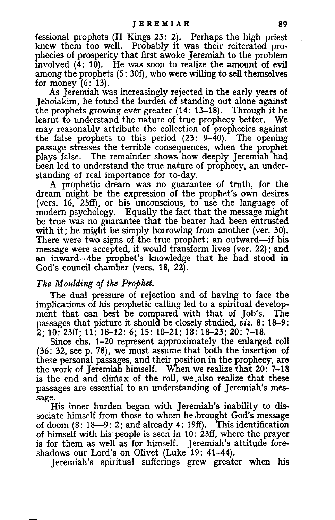fessional prophets (II Kings 23: 2). Perhaps the high priest knew them too well. Probably it was their reiterated prophecies of prosperity that first awoke Jeremiah to the problem mvolved (4: 10). He was soon to realize the amount of evil among the prophets (5: 30f), who were willing to sell themselves for money  $(6: 13)$ .

As Jeremiah was increasingly rejected in the early years of Jehoiakim, he found the burden of standing out alone against the prophets growing ever greater (14: 13-18). Through it he learnt to understand the nature of true prophecy better. We may reasonably attribute the collection of prophecies against the false prophets to this period  $(23: 9-40)$ . The opening passage stresses the terrible consequences, when the prophet plays false. The remainder shows how deeply Jeremiah had been led to understand the true nature of prophecy, an understanding of real importance for to-day.

A prophetic dream was no guarantee of truth, for the dream might be the expression of the prophet's own desires (vers. 16, 25ft), or his unconscious, to use the language of modern psychology. Equally the fact that the message might be true was no guarantee that the bearer had been entrusted with it; he might be simply borrowing from another (ver. 30). There were two signs of the true prophet: an outward—if his message were accepted, it would transform lives (ver. 22); and an inward-the prophet's knowledge that he had stood in God's council chamber (vers. 18, 22).

### *The Moulding of the Prophet.*

The dual pressure of rejection and of having to face the implications of his prophetic calling led to a spiritual development that can best be compared with that of Job's. The passages that picture it should be closely studied, *viz.* 8: 18-9:  $2$ ; 10: 23ff; 11: 18–12: 6; 15: 10–21; 18: 18–23; 20: 7–18.

Since chs. 1-20 represent approximately the enlarged roll (36: 32, see p. 78), we must assume that both the insertion of these personal passages, and their position in the prophecy, are the work of Jeremiah himself. When we realize that 20: 7-18 is the end and climax of the roll, we also realize that these passages are essential to an understanding of Jeremiah's message.

His inner burden began with Jeremiah's inability to dissociate himself from those to whom he .brought God's message of doom  $(8: 18-9: 2;$  and already 4: 19ft). This identification of himself with his people is seen in 10: 23ft, where the prayer is for them as well as for himself. Jeremiah's attitude foreshadows our Lord's on Olivet (Luke 19: 41-44).

Jeremiah's spiritual sufterings grew greater when his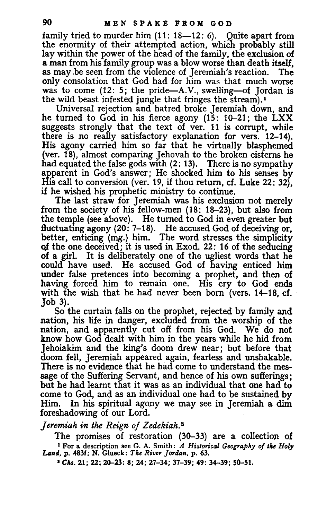family tried to murder him  $(11: 18-12: 6)$ . Ouite apart from the enormity of their attempted action, which probably still lay within the power of the head of the family, the exclusion of a man from his family group was a blow worse than death itself, as may.be seen from the violence of Jeremiah's reaction. The only consolation that God had for him was that much worse was to come (12: 5; the pride-A.V., swelling-of Jordan is the wild beast infested jungle that fringes the stream). 1

Universal rejection and hatred broke Jeremiah down, and he turned to God in his fierce agony (15: 10-21; the LXX suggests strongly that the text of ver. 11 is corrupt, while there is no really satisfactory explanation for vers.  $12-14$ ). His agony carried him so far that he virtually blasphemed (ver. 18), almost comparing Jehovah to the broken cisterns he had equated the false gods with (2: 13). There is no sympathy apparent in God's answer; He shocked him to his senses by His call to conversion (ver. 19, if thou return, cf. Luke 22: 32), if he wished his prophetic ministry to continue.

The last straw for Jeremiah was his exclusion not merely from the society of his fellow-men (18: 18-23), but also from the temple (see above). He turned to God in even greater but fluctuating agony (20: 7-18). He accused God of deceiving or, better, enticing (mg.) him. The word stresses the simplicity qf the one deceived; it is used in Exod. 22: 16 of the seducing of a girl. It is deliberately one of the ugliest words that he could have used. He accused God of having enticed him under false pretences into becoming a prophet, and then of having forced him to remain one. His cry to God ends with the wish that he had never been born (vers. 14-18, cf.  $\mathbf{I}$ ob 3).

So the curtain falls on the prophet, rejected by family and nation, his life in danger, excluded from the worship of the nation, and apparently cut off from his God. We do not know how God dealt with him in the years while he hid from Jehoiakim and the king's doom drew near; but before that doom fell, Jeremiah appeared again, fearless and unshakable. There is no evidence that he had come to understand the message of the Suffering Servant, and hence of his own sufferings; but he had learnt that it was as an individual that one had to come to God, and as an individual one had to be sustained by Him. In his spiritual agony we may see in Jeremiah a dim foreshadowing of our Lord.

*Jeremiah in the Reign of Zedekiah. <sup>2</sup>*

The promises of restoration (30-33) are a collection of <sup>1</sup>For a description see G. A. Smith: *A Historical Geography of the Holy Land,* p. 4831; N. Glueck: *The River Jordan,* p. 63.

<sup>2</sup> Chs. 21; 22; 20-23: 8; 24; 27-34; 37-39; 49: 34-39; 50-51.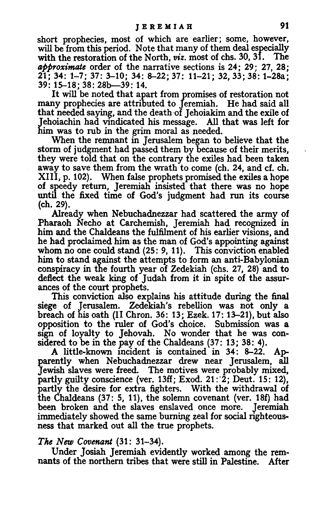short prophecies, most of which are earlier; some, however, will be from this period. Note that many of them deal especially with the restoration of the North, *viz.* most of chs. 30, 31. The *aptwoximate* order of the narrative sections is 24; 29; 27, 28; 21; 34: 1-7; 37: 3-10; 34: 8-22; 37: 11-21; 32,33; 38: 1-28a; 39: 15-18; 38: 28b-39: 14.

It will be noted that apart from promises of restoration not many prophecies are attributed to Jeremiah. He had said all that needed saying, and the death of Jehoiakim and the exile of Jehoiachin had vindicated his message. All that was left for him was to rub in the grim moral as needed.

When the remnant in Jerusalem began to believe that the storm of judgment had passed them by because of their merits, they were told that on the contrary the exiles had been taken away to save them from the wrath to come (ch. 24, and cf. ch. XIII. p. 102). When false prophets promised the exiles a hope of speedy return, Jeremiah insisted that there was no hope until the fixed time of God's judgment had run its course (ch. 29).

Already when Nebuchadnezzar had scattered the army of Pharaoh Necho at Carchemish, Jeremiah had recognized in him and the Chaldeans the fulfilment of his earlier visions, and he had proclaimed him as the man of God's appointing against whom no one could stand (25: 9, 11). This conviction enabled him to stand against the attempts to form an anti-Babylonian conspiracy in the fourth year of Zedekiah (chs. 27, 28) and to deflect the weak king of Judah from it in spite of the assurances of the court prophets.

This conviction also explains his attitude during the final siege of Jerusalem. Zedekiah's rebellion was not only a breach of his oath (11 Chron. 36: 13; Ezek. 17: 13-21), but also opposition to the ruler of God's choice. Submission was a sign of loyalty to Jehovah. No wonder that he was considered to be in the pay of the Chaldeans (37: 13; 38: 4).

A little-known incident is contained in 34: 8-22. Apparently when Nebuchadnezzar drew near Jerusalem, all Jewish slaves were freed. The motives were probably mixed, partly guilty conscience (ver. 13ff; Exod. 21:  $\overline{2}$ ; Deut. 15: 12), partly the desire for extra fighters. With the withdrawal of the Chaldeans  $(37: 5, 11)$ , the solemn covenant (ver. 18f) had been broken and the slaves enslaved once more. Jeremiah immediately showed the same burning zeal for social righteousness that marked out all the true prophets.

### *The New Covenant* (31: 31-34).

Under Josiah Jeremiah evidently worked among the remnants of the northern tribes that were still in Palestine. After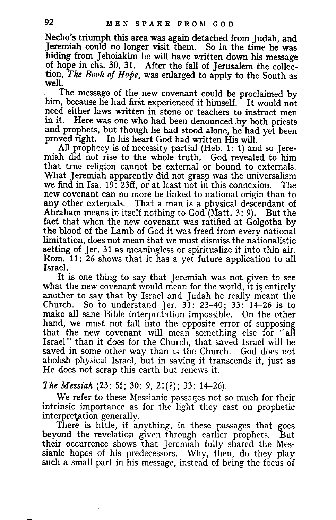Necho's triumph this area was again detached from Judah, and Jeremiah could no longer visit them. So in the time he was hiding from Jehoiakim he will have written down his message of hope in chs. 30, 31. After the fall of Jerusalem the collection, *The Book of Hope,* was enlarged to apply to the South as well.

. The message of the new covenant could be proclaimed by him, because he had first experienced it himself. It would not need either laws written in stone or teachers to instruct men in it. Here was one who had been denounced by both priests and prophets, but though he had stood alone, he had yet been proved right. In his heart God had written His will.

All prophecy is of necessity partial (Heb. 1: 1) and so Jeremiah did not rise to the whole truth. God revealed to him that true religion cannot be external or bound to externals. What Jeremiah apparently did not grasp was the universalism we find in Isa. 19: 23ft, or at least not in this connexion. The new covenant can no more be linked to national origin than to any other externals. That a man is a physical descendant of Abraham means in itself nothing to God (Matt. 3: 9). But the fact that when the new covenant was ratified at Golgotha by the blood of the Lamb of God it was freed from every national limitation, does not mean that we must dismiss the nationalistic setting of Jer. 31 as meaningless or spiritualize it into thin air. Rom. **11:** 26 shows that it has a yet future application to all Israel.

It is one thing to say that Jeremiah was not given to see what the new covenant would mean for the world, it is entirely another to say that by Israel and Judah he really meant the Church. So to understand Jer. 31: 23-40; 33: 14-26 is to make all sane Bible interpretation impossible. On the other hand, we must not fall into the opposite error of supposing that the new covenant will mean something else for "all Israel" than it does for the Church, that saved Israel will be saved in some other way than is the Church. God does not abolish physical Israel, but in saving it transcends it, just as He does not scrap this earth but renews it.

#### *The Messiah* (23: Sf; 30: 9, 21(?); 33: 14-26).

We refer to these Messianic passages not so much for their intrinsic importance as for the light they cast on prophetic interpretation generally.

There is little, if anything, in these passages that goes beyond the revelation given through earlier prophets. But their occurrence shows that Jeremiah fully shared the Mcssianic hopes of his predecessors. Why, then, do they play such a small part in his message, instead of being the focus of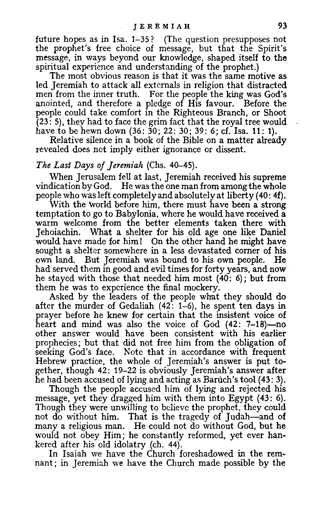future hopes as in Isa. 1-35? (The question presupposes not the prophet's free choice of message, but that the Spirit's message, in ways beyond our knowledge, shaped itself to the spiritual experience and understanding of the prophet.)

The most obvious reason is that it was the same motive as led Jeremiah to attack all externals in religion that distracted men from the inner truth. For the people the king was God's anointed, and therefore a pledge of His favour. Before the people could take comfort in the Righteous Branch, or Shoot  $(23: 5)$ , they had to face the grim fact that the royal tree would have to be hewn down (36: 30; 22: 30; 39: 6; cf. Isa. 11: 1).

Relative silence in a book of the Bible on a matter already revealed does not imply either ignorance or dissent.

### *The Last Days of Jeremiah* (Chs. 40-45).

When Jerusalem feU at last, Jeremiah received his supreme vindication by God. He was the one man from among the whole people who was left completely and absolutely at liberty (40: 4f).

With the world before him, there must have been a strong temptation to go to Babylonia, where he would have received a warm welcome from the better elements taken there with Jehoiachin. What a shelter for his old age one like Daniel would have made for him! On the other hand he might have sought a shelter somewhere in a less devastated corner of his own land. But Jeremiah was bound to his own people. He had served them in good and evil times for forty years, and now he stayed with those that needed him most (40: 6); but from them he was to experience the final mockery.

Asked by the leaders of the people what they should do after the murder of Gedaliah (42: 1-6), he spent ten days in prayer before he knew for certain that the insistent voice of heart and mind was also the voice of God  $(42: 7-18)$ —no other answer would have been consistent with his earlier prophecies; but that did not free him from the obligation of seeking God's face. Note that in accordance with frequent Hebrew practice, the whole of Jeremiah's answer is put together, though 42: 19-22 is obviously Jeremiah's answer after he had been accused of lying and acting as Banich's tool (43: 3).

Though the people accused him of lying and rejected his message, yet they dragged him with them into Egypt (43: 6). Though they were unwilling to believe the prophet, they could not do without him. That is the tragedy of Judah-and of many a religious man. He could not do without God, but he would not obey Him; he constantly reformed, yet ever hankered after his old idolatry (ch. 44).

In Isaiah we have the Church foreshadowed in the remnant; in Jeremiah we have the Church made possible by the